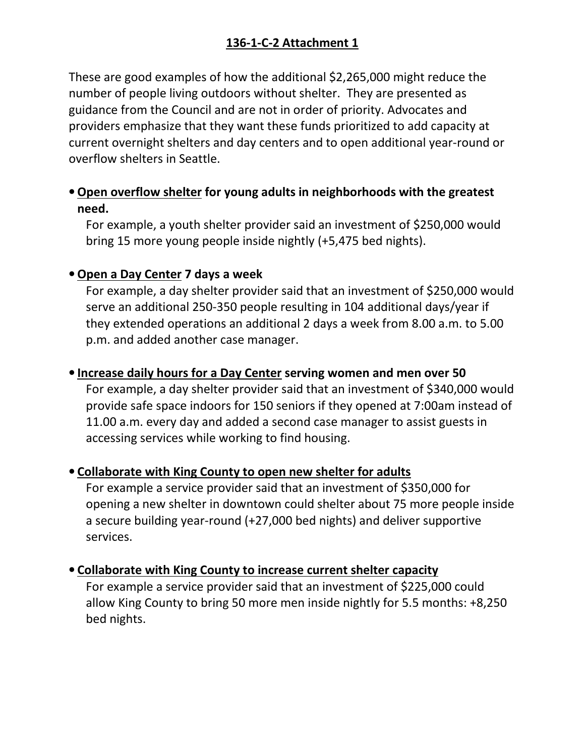# 136-1-C-2 Attachment 1

These are good examples of how the additional \$2,265,000 might reduce the number of people living outdoors without shelter. They are presented as guidance from the Council and are not in order of priority. Advocates and providers emphasize that they want these funds prioritized to add capacity at current overnight shelters and day centers and to open additional year-round or overflow shelters in Seattle.

## • Open overflow shelter for young adults in neighborhoods with the greatest need.

For example, a youth shelter provider said an investment of \$250,000 would bring 15 more young people inside nightly (+5,475 bed nights).

### • Open a Day Center 7 days a week

For example, a day shelter provider said that an investment of \$250,000 would serve an additional 250-350 people resulting in 104 additional days/year if they extended operations an additional 2 days a week from 8.00 a.m. to 5.00 p.m. and added another case manager.

### • Increase daily hours for a Day Center serving women and men over 50

For example, a day shelter provider said that an investment of \$340,000 would provide safe space indoors for 150 seniors if they opened at 7:00am instead of 11.00 a.m. every day and added a second case manager to assist guests in accessing services while working to find housing.

#### • Collaborate with King County to open new shelter for adults

For example a service provider said that an investment of \$350,000 for opening a new shelter in downtown could shelter about 75 more people inside a secure building year-round (+27,000 bed nights) and deliver supportive services.

#### • Collaborate with King County to increase current shelter capacity

For example a service provider said that an investment of \$225,000 could allow King County to bring 50 more men inside nightly for 5.5 months: +8,250 bed nights.